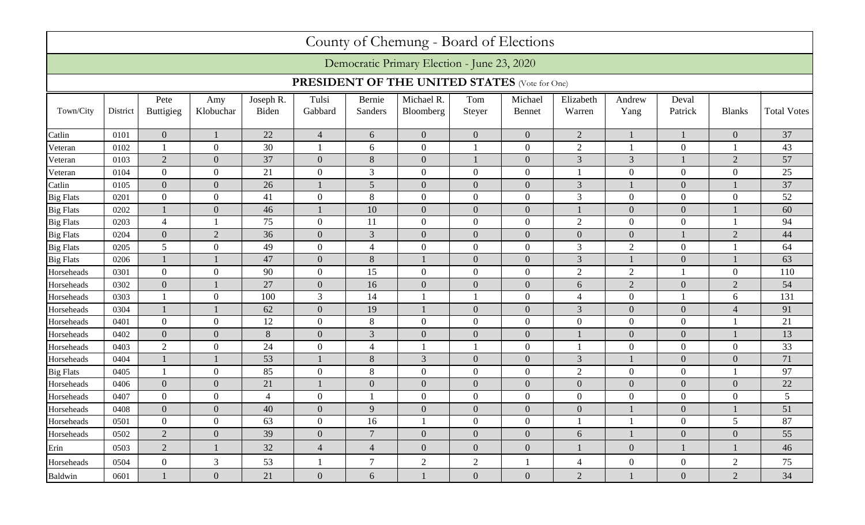|                                                      |          |                          |                  |                    |                  |                   | County of Chemung - Board of Elections      |                  |                          |                     |                  |                  |                  |                    |
|------------------------------------------------------|----------|--------------------------|------------------|--------------------|------------------|-------------------|---------------------------------------------|------------------|--------------------------|---------------------|------------------|------------------|------------------|--------------------|
|                                                      |          |                          |                  |                    |                  |                   | Democratic Primary Election - June 23, 2020 |                  |                          |                     |                  |                  |                  |                    |
| <b>PRESIDENT OF THE UNITED STATES</b> (Vote for One) |          |                          |                  |                    |                  |                   |                                             |                  |                          |                     |                  |                  |                  |                    |
| Town/City                                            | District | Pete<br><b>Buttigieg</b> | Amy<br>Klobuchar | Joseph R.<br>Biden | Tulsi<br>Gabbard | Bernie<br>Sanders | Michael R.<br>Bloomberg                     | Tom<br>Steyer    | Michael<br><b>Bennet</b> | Elizabeth<br>Warren | Andrew<br>Yang   | Deval<br>Patrick | <b>Blanks</b>    | <b>Total Votes</b> |
| Catlin                                               | 0101     | $\mathbf{0}$             |                  | 22                 | $\overline{4}$   | 6                 | $\overline{0}$                              | $\overline{0}$   | $\overline{0}$           | $\sqrt{2}$          |                  |                  | $\mathbf{0}$     | 37                 |
| Veteran                                              | 0102     | $\mathbf{1}$             | $\overline{0}$   | 30                 | 1                | 6                 | $\overline{0}$                              |                  | $\overline{0}$           | 2                   |                  | $\overline{0}$   |                  | 43                 |
| Veteran                                              | 0103     | $\overline{2}$           | $\overline{0}$   | 37                 | $\overline{0}$   | 8                 | $\overline{0}$                              |                  | $\overline{0}$           | 3                   | 3                |                  | $\mathbf{2}$     | 57                 |
| Veteran                                              | 0104     | $\overline{0}$           | $\boldsymbol{0}$ | 21                 | $\overline{0}$   | 3                 | $\overline{0}$                              | $\overline{0}$   | $\overline{0}$           |                     | $\overline{0}$   | $\overline{0}$   | $\mathbf{0}$     | 25                 |
| Catlin                                               | 0105     | $\overline{0}$           | $\overline{0}$   | 26                 |                  | 5                 | $\overline{0}$                              | $\Omega$         | $\overline{0}$           | 3                   |                  | $\boldsymbol{0}$ |                  | 37                 |
| <b>Big Flats</b>                                     | 0201     | $\overline{0}$           | $\overline{0}$   | 41                 | $\overline{0}$   | 8                 | $\overline{0}$                              | $\Omega$         | $\overline{0}$           | 3                   | $\overline{0}$   | $\overline{0}$   | $\overline{0}$   | 52                 |
| <b>Big Flats</b>                                     | 0202     | $\mathbf{1}$             | $\overline{0}$   | 46                 |                  | 10                | $\overline{0}$                              | $\mathbf{0}$     | $\overline{0}$           |                     | $\overline{0}$   | $\boldsymbol{0}$ |                  | 60                 |
| <b>Big Flats</b>                                     | 0203     | $\overline{4}$           |                  | 75                 | $\overline{0}$   | 11                | $\overline{0}$                              | $\overline{0}$   | $\overline{0}$           | $\mathfrak{2}$      | $\overline{0}$   | $\boldsymbol{0}$ |                  | 94                 |
| <b>Big Flats</b>                                     | 0204     | $\mathbf{0}$             | $\overline{2}$   | 36                 | $\overline{0}$   | 3                 | $\overline{0}$                              | $\overline{0}$   | $\overline{0}$           | $\overline{0}$      | $\overline{0}$   |                  | $\mathbf{2}$     | 44                 |
| <b>Big Flats</b>                                     | 0205     | 5                        | $\overline{0}$   | 49                 | $\overline{0}$   | $\overline{4}$    | $\overline{0}$                              | $\overline{0}$   | $\overline{0}$           | 3                   | $\overline{2}$   | $\overline{0}$   |                  | 64                 |
| <b>Big Flats</b>                                     | 0206     |                          |                  | 47                 | $\overline{0}$   | $8\,$             |                                             | $\Omega$         | $\overline{0}$           | 3                   |                  | $\overline{0}$   |                  | 63                 |
| Horseheads                                           | 0301     | $\mathbf{0}$             | $\overline{0}$   | 90                 | $\overline{0}$   | 15                | $\overline{0}$                              | $\overline{0}$   | $\overline{0}$           | $\overline{2}$      | $\overline{2}$   |                  | $\mathbf{0}$     | 110                |
| Horseheads                                           | 0302     | $\boldsymbol{0}$         |                  | 27                 | $\overline{0}$   | 16                | $\mathbf{0}$                                | $\overline{0}$   | $\overline{0}$           | 6                   | $\overline{2}$   | $\boldsymbol{0}$ | $\sqrt{2}$       | 54                 |
| Horseheads                                           | 0303     |                          | $\boldsymbol{0}$ | 100                | 3                | 14                |                                             |                  | $\overline{0}$           | $\overline{4}$      | $\overline{0}$   |                  | 6                | 131                |
| Horseheads                                           | 0304     |                          |                  | 62                 | $\overline{0}$   | 19                |                                             | $\overline{0}$   | $\overline{0}$           | 3                   | $\overline{0}$   | $\boldsymbol{0}$ | $\overline{4}$   | 91                 |
| Horseheads                                           | 0401     | $\mathbf{0}$             | $\mathbf{0}$     | 12                 | $\overline{0}$   | 8                 | $\overline{0}$                              | $\overline{0}$   | $\overline{0}$           | $\overline{0}$      | $\overline{0}$   | $\overline{0}$   |                  | 21                 |
| Horseheads                                           | 0402     | $\mathbf{0}$             | $\overline{0}$   | 8                  | $\theta$         | 3                 | $\overline{0}$                              | $\Omega$         | $\overline{0}$           |                     | $\overline{0}$   | $\boldsymbol{0}$ |                  | 13                 |
| Horseheads                                           | 0403     | $\overline{2}$           | $\mathbf{0}$     | 24                 | $\overline{0}$   | 4                 |                                             |                  | $\overline{0}$           |                     | $\overline{0}$   | $\boldsymbol{0}$ | $\overline{0}$   | 33                 |
| Horseheads                                           | 0404     |                          |                  | 53                 |                  | 8                 | 3                                           | $\mathbf{0}$     | $\overline{0}$           | 3                   |                  | $\boldsymbol{0}$ | $\boldsymbol{0}$ | 71                 |
| <b>Big Flats</b>                                     | 0405     |                          | $\boldsymbol{0}$ | 85                 | $\overline{0}$   | 8                 | $\overline{0}$                              | $\overline{0}$   | $\overline{0}$           | $\mathbf{2}$        | $\overline{0}$   | $\overline{0}$   |                  | 97                 |
| Horseheads                                           | 0406     | $\mathbf{0}$             | $\overline{0}$   | 21                 |                  | $\overline{0}$    | $\overline{0}$                              | $\overline{0}$   | $\overline{0}$           | $\overline{0}$      | $\overline{0}$   | $\overline{0}$   | $\overline{0}$   | 22                 |
| Horseheads                                           | 0407     | $\mathbf{0}$             | $\boldsymbol{0}$ | $\overline{4}$     | $\overline{0}$   |                   | $\mathbf{0}$                                | $\overline{0}$   | $\overline{0}$           | 0                   | $\overline{0}$   | $\boldsymbol{0}$ | $\boldsymbol{0}$ | $5\overline{)}$    |
| Horseheads                                           | 0408     | $\mathbf{0}$             | $\mathbf{0}$     | 40                 | $\mathbf{0}$     | 9                 | $\overline{0}$                              | $\overline{0}$   | $\overline{0}$           | $\overline{0}$      |                  | $\overline{0}$   |                  | 51                 |
| Horseheads                                           | 0501     | $\boldsymbol{0}$         | $\boldsymbol{0}$ | 63                 | $\overline{0}$   | 16                |                                             | $\boldsymbol{0}$ | $\overline{0}$           |                     |                  | $\boldsymbol{0}$ | 5                | 87                 |
| Horseheads                                           | 0502     | $\overline{2}$           | $\mathbf{0}$     | 39                 | $\overline{0}$   | $\overline{7}$    | $\overline{0}$                              | $\overline{0}$   | $\overline{0}$           | 6                   |                  | $\overline{0}$   | $\overline{0}$   | 55                 |
| Erin                                                 | 0503     | 2                        |                  | 32                 | $\overline{4}$   | $\overline{4}$    | $\overline{0}$                              | $\overline{0}$   | $\overline{0}$           |                     | $\overline{0}$   |                  |                  | 46                 |
| Horseheads                                           | 0504     | $\overline{0}$           | 3                | 53                 |                  | $\tau$            | $\overline{2}$                              | $\overline{2}$   |                          | $\overline{4}$      | $\boldsymbol{0}$ | $\boldsymbol{0}$ | $\overline{2}$   | 75                 |
| Baldwin                                              | 0601     |                          | $\mathbf{0}$     | 21                 | $\overline{0}$   | 6                 |                                             | $\overline{0}$   | $\overline{0}$           | $\overline{2}$      |                  | $\overline{0}$   | $\overline{2}$   | 34                 |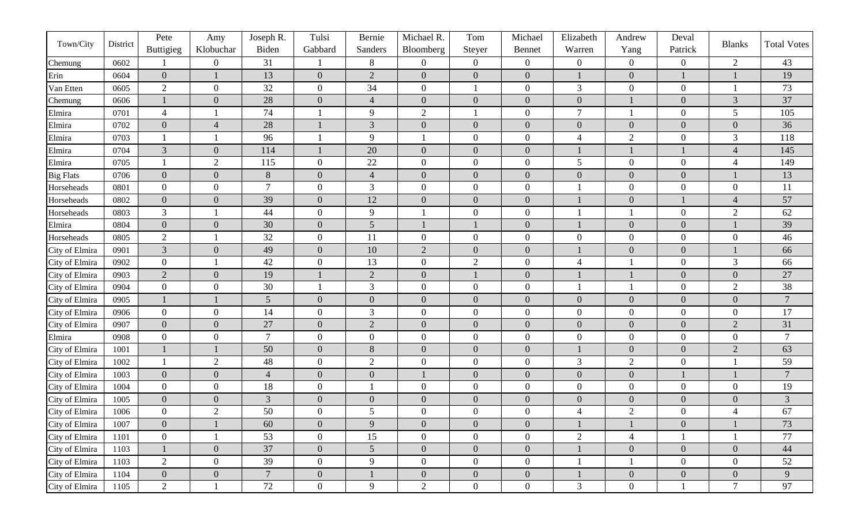|                  |          | Pete             | Amy              | Joseph R.      | Tulsi            | Bernie           | Michael R.       | Tom              | Michael          | Elizabeth        | Andrew           | Deval            |                  |                    |
|------------------|----------|------------------|------------------|----------------|------------------|------------------|------------------|------------------|------------------|------------------|------------------|------------------|------------------|--------------------|
| Town/City        | District | Buttigieg        | Klobuchar        | Biden          | Gabbard          | Sanders          | Bloomberg        | Steyer           | Bennet           | Warren           | Yang             | Patrick          | <b>Blanks</b>    | <b>Total Votes</b> |
| Chemung          | 0602     |                  | $\boldsymbol{0}$ | 31             |                  | 8                | $\overline{0}$   | $\overline{0}$   | $\overline{0}$   | $\overline{0}$   | $\overline{0}$   | $\boldsymbol{0}$ | $\overline{2}$   | 43                 |
| Erin             | 0604     | $\boldsymbol{0}$ | $\mathbf{1}$     | 13             | $\overline{0}$   | $\overline{2}$   | $\overline{0}$   | $\overline{0}$   | $\overline{0}$   |                  | $\boldsymbol{0}$ |                  |                  | 19                 |
| Van Etten        | 0605     | $\mathbf{2}$     | $\boldsymbol{0}$ | 32             | $\overline{0}$   | 34               | $\overline{0}$   |                  | $\overline{0}$   | 3                | $\boldsymbol{0}$ | $\boldsymbol{0}$ |                  | 73                 |
| Chemung          | 0606     |                  | $\boldsymbol{0}$ | 28             | $\overline{0}$   | $\overline{4}$   | $\overline{0}$   | $\overline{0}$   | $\overline{0}$   | $\boldsymbol{0}$ |                  | $\boldsymbol{0}$ | $\mathfrak{Z}$   | 37                 |
| Elmira           | 0701     | $\overline{4}$   | -1               | 74             |                  | 9                | $\overline{2}$   |                  | $\overline{0}$   | $\tau$           |                  | $\boldsymbol{0}$ | 5                | 105                |
| Elmira           | 0702     | $\boldsymbol{0}$ | $\overline{4}$   | 28             |                  | 3                | $\overline{0}$   | $\overline{0}$   | $\overline{0}$   | $\overline{0}$   | $\boldsymbol{0}$ | $\overline{0}$   | $\mathbf{0}$     | 36                 |
| Elmira           | 0703     |                  |                  | 96             |                  | 9                |                  | $\overline{0}$   | $\overline{0}$   | 4                | $\overline{2}$   | $\boldsymbol{0}$ | 3                | 118                |
| Elmira           | 0704     | $\mathfrak{Z}$   | $\mathbf{0}$     | 114            |                  | 20               | $\boldsymbol{0}$ | $\mathbf{0}$     | $\overline{0}$   |                  |                  |                  | $\overline{4}$   | 145                |
| Elmira           | 0705     |                  | $\overline{2}$   | 115            | $\overline{0}$   | 22               | $\overline{0}$   | $\overline{0}$   | $\overline{0}$   | 5                | $\boldsymbol{0}$ | $\boldsymbol{0}$ | $\overline{4}$   | 149                |
| <b>Big Flats</b> | 0706     | $\boldsymbol{0}$ | $\mathbf{0}$     | 8              | $\boldsymbol{0}$ | $\overline{4}$   | $\overline{0}$   | $\mathbf{0}$     | $\overline{0}$   | $\boldsymbol{0}$ | $\boldsymbol{0}$ | $\boldsymbol{0}$ |                  | 13                 |
| Horseheads       | 0801     | $\boldsymbol{0}$ | $\boldsymbol{0}$ | $\overline{7}$ | $\overline{0}$   | 3                | $\overline{0}$   | $\overline{0}$   | $\boldsymbol{0}$ |                  | $\boldsymbol{0}$ | $\boldsymbol{0}$ | $\boldsymbol{0}$ | 11                 |
| Horseheads       | 0802     | $\boldsymbol{0}$ | $\mathbf{0}$     | 39             | $\overline{0}$   | 12               | $\overline{0}$   | $\overline{0}$   | $\overline{0}$   |                  | $\boldsymbol{0}$ |                  | $\overline{4}$   | 57                 |
| Horseheads       | 0803     | $\mathfrak{Z}$   |                  | 44             | $\overline{0}$   | 9                |                  | $\overline{0}$   | $\overline{0}$   |                  |                  | $\boldsymbol{0}$ | $\overline{2}$   | 62                 |
| Elmira           | 0804     | $\boldsymbol{0}$ | $\overline{0}$   | 30             | $\overline{0}$   | 5                |                  |                  | $\overline{0}$   |                  | $\boldsymbol{0}$ | $\boldsymbol{0}$ |                  | 39                 |
| Horseheads       | 0805     | $\mathbf{2}$     |                  | 32             | $\overline{0}$   | <sup>11</sup>    | $\overline{0}$   | $\boldsymbol{0}$ | $\boldsymbol{0}$ | $\overline{0}$   | $\boldsymbol{0}$ | $\boldsymbol{0}$ | $\boldsymbol{0}$ | 46                 |
| City of Elmira   | 0901     | $\mathfrak{Z}$   | $\mathbf{0}$     | 49             | $\overline{0}$   | 10               | 2                | $\overline{0}$   | $\overline{0}$   |                  | $\boldsymbol{0}$ | $\boldsymbol{0}$ |                  | 66                 |
| City of Elmira   | 0902     | $\boldsymbol{0}$ |                  | 42             | $\overline{0}$   | 13               | $\overline{0}$   | $\overline{2}$   | $\overline{0}$   | 4                |                  | $\boldsymbol{0}$ | $\mathfrak{Z}$   | 66                 |
| City of Elmira   | 0903     | $\sqrt{2}$       | $\mathbf{0}$     | 19             |                  | $\overline{2}$   | $\overline{0}$   |                  | $\overline{0}$   |                  |                  | $\overline{0}$   | $\boldsymbol{0}$ | $27\,$             |
| City of Elmira   | 0904     | $\boldsymbol{0}$ | $\boldsymbol{0}$ | 30             |                  | $\mathfrak{Z}$   | $\boldsymbol{0}$ | $\boldsymbol{0}$ | $\overline{0}$   |                  |                  | $\boldsymbol{0}$ | $\mathbf{2}$     | 38                 |
| City of Elmira   | 0905     |                  |                  | 5              | $\boldsymbol{0}$ | $\boldsymbol{0}$ | $\mathbf{0}$     | $\mathbf{0}$     | $\overline{0}$   | $\boldsymbol{0}$ | $\boldsymbol{0}$ | $\boldsymbol{0}$ | $\boldsymbol{0}$ | $\overline{7}$     |
| City of Elmira   | 0906     | $\boldsymbol{0}$ | $\boldsymbol{0}$ | 14             | $\overline{0}$   | 3                | $\overline{0}$   | $\overline{0}$   | $\overline{0}$   | $\overline{0}$   | $\boldsymbol{0}$ | $\boldsymbol{0}$ | $\boldsymbol{0}$ | 17                 |
| City of Elmira   | 0907     | $\boldsymbol{0}$ | $\mathbf{0}$     | 27             | $\overline{0}$   | $\sqrt{2}$       | $\overline{0}$   | $\mathbf{0}$     | $\overline{0}$   | $\overline{0}$   | $\boldsymbol{0}$ | $\boldsymbol{0}$ | $\sqrt{2}$       | 31                 |
| Elmira           | 0908     | $\boldsymbol{0}$ | $\boldsymbol{0}$ | $\overline{7}$ | $\overline{0}$   | $\boldsymbol{0}$ | $\overline{0}$   | $\overline{0}$   | $\boldsymbol{0}$ | $\overline{0}$   | $\boldsymbol{0}$ | $\boldsymbol{0}$ | $\boldsymbol{0}$ | $\overline{7}$     |
| City of Elmira   | 1001     |                  |                  | 50             | $\boldsymbol{0}$ | $8\,$            | $\overline{0}$   | $\mathbf{0}$     | $\overline{0}$   |                  | $\boldsymbol{0}$ | $\boldsymbol{0}$ | $\sqrt{2}$       | 63                 |
| City of Elmira   | 1002     |                  | $\overline{2}$   | 48             | $\boldsymbol{0}$ | $\overline{2}$   | $\overline{0}$   | $\overline{0}$   | $\boldsymbol{0}$ | 3                | $\overline{2}$   | $\boldsymbol{0}$ |                  | 59                 |
| City of Elmira   | 1003     | $\boldsymbol{0}$ | $\overline{0}$   | $\overline{4}$ | $\overline{0}$   | $\overline{0}$   |                  | $\boldsymbol{0}$ | $\overline{0}$   | $\boldsymbol{0}$ | $\boldsymbol{0}$ |                  |                  | $\overline{7}$     |
| City of Elmira   | 1004     | $\boldsymbol{0}$ | $\boldsymbol{0}$ | 18             | $\boldsymbol{0}$ |                  | $\mathbf{0}$     | $\boldsymbol{0}$ | $\overline{0}$   | $\overline{0}$   | $\boldsymbol{0}$ | $\boldsymbol{0}$ | $\boldsymbol{0}$ | 19                 |
| City of Elmira   | 1005     | $\boldsymbol{0}$ | $\boldsymbol{0}$ | 3              | $\overline{0}$   | $\boldsymbol{0}$ | $\overline{0}$   | $\overline{0}$   | $\overline{0}$   | $\boldsymbol{0}$ | $\boldsymbol{0}$ | $\boldsymbol{0}$ | $\boldsymbol{0}$ | $\mathfrak{Z}$     |
| City of Elmira   | 1006     | $\boldsymbol{0}$ | $\overline{2}$   | 50             | $\overline{0}$   | 5                | $\overline{0}$   | $\overline{0}$   | $\boldsymbol{0}$ | 4                | $\overline{2}$   | $\boldsymbol{0}$ | $\overline{4}$   | 67                 |
| City of Elmira   | 1007     | $\mathbf{0}$     |                  | 60             | $\overline{0}$   | 9                | $\overline{0}$   | $\overline{0}$   | $\overline{0}$   |                  |                  | $\overline{0}$   |                  | 73                 |
| City of Elmira   | 1101     | $\overline{0}$   |                  | 53             | $\overline{0}$   | 15               | $\overline{0}$   | $\overline{0}$   | $\overline{0}$   | $\overline{2}$   | $\overline{4}$   |                  |                  | 77                 |
| City of Elmira   | 1103     |                  | $\mathbf{0}$     | 37             | $\overline{0}$   | $\mathfrak{S}$   | $\overline{0}$   | $\overline{0}$   | $\mathbf{0}$     |                  | $\boldsymbol{0}$ | $\mathbf{0}$     | $\overline{0}$   | 44                 |
| City of Elmira   | 1103     | $\overline{2}$   | $\boldsymbol{0}$ | 39             | $\overline{0}$   | 9                | $\overline{0}$   | $\overline{0}$   | $\overline{0}$   |                  |                  | $\overline{0}$   | $\overline{0}$   | 52                 |
| City of Elmira   | 1104     | $\boldsymbol{0}$ | $\mathbf{0}$     | $\overline{7}$ | $\mathbf{0}$     |                  | $\mathbf{0}$     | $\overline{0}$   | $\boldsymbol{0}$ |                  | $\boldsymbol{0}$ | $\boldsymbol{0}$ | $\overline{0}$   | $\overline{9}$     |
| City of Elmira   | 1105     | $\overline{2}$   |                  | 72             | $\overline{0}$   | 9                | $\overline{2}$   | $\overline{0}$   | $\overline{0}$   | $\mathfrak{Z}$   | $\overline{0}$   |                  | $\overline{7}$   | 97                 |